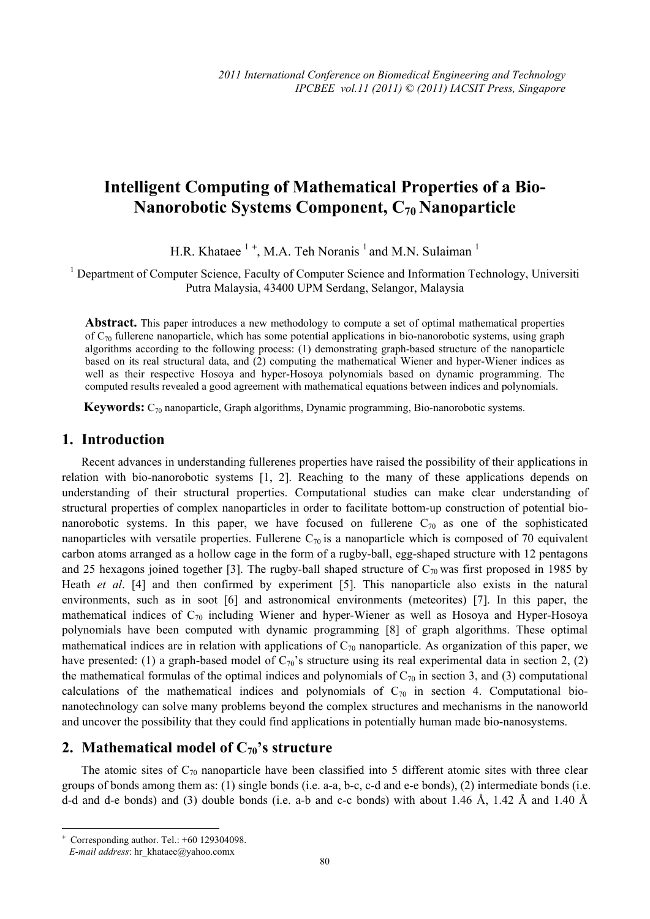# **Intelligent Computing of Mathematical Properties of a Bio-Nanorobotic Systems Component, C70 Nanoparticle**

H.R. Khataee  $1^+$ , M.A. Teh Noranis  $1$  and M.N. Sulaiman  $1$ 

<sup>1</sup> Department of Computer Science, Faculty of Computer Science and Information Technology, Universiti Putra Malaysia, 43400 UPM Serdang, Selangor, Malaysia

Abstract. This paper introduces a new methodology to compute a set of optimal mathematical properties of  $C_{70}$  fullerene nanoparticle, which has some potential applications in bio-nanorobotic systems, using graph algorithms according to the following process: (1) demonstrating graph-based structure of the nanoparticle based on its real structural data, and (2) computing the mathematical Wiener and hyper-Wiener indices as well as their respective Hosoya and hyper-Hosoya polynomials based on dynamic programming. The computed results revealed a good agreement with mathematical equations between indices and polynomials.

**Keywords:**  $C_{70}$  nanoparticle, Graph algorithms, Dynamic programming, Bio-nanorobotic systems.

#### **1. Introduction**

Recent advances in understanding fullerenes properties have raised the possibility of their applications in relation with bio-nanorobotic systems [1, 2]. Reaching to the many of these applications depends on understanding of their structural properties. Computational studies can make clear understanding of structural properties of complex nanoparticles in order to facilitate bottom-up construction of potential bionanorobotic systems. In this paper, we have focused on fullerene  $C_{70}$  as one of the sophisticated nanoparticles with versatile properties. Fullerene  $C_{70}$  is a nanoparticle which is composed of 70 equivalent carbon atoms arranged as a hollow cage in the form of a rugby-ball, egg-shaped structure with 12 pentagons and 25 hexagons joined together [3]. The rugby-ball shaped structure of  $C_{70}$  was first proposed in 1985 by Heath *et al*. [4] and then confirmed by experiment [5]. This nanoparticle also exists in the natural environments, such as in soot [6] and astronomical environments (meteorites) [7]. In this paper, the mathematical indices of  $C_{70}$  including Wiener and hyper-Wiener as well as Hosoya and Hyper-Hosoya polynomials have been computed with dynamic programming [8] of graph algorithms. These optimal mathematical indices are in relation with applications of  $C_{70}$  nanoparticle. As organization of this paper, we have presented: (1) a graph-based model of  $C_{70}$ 's structure using its real experimental data in section 2, (2) the mathematical formulas of the optimal indices and polynomials of  $C_{70}$  in section 3, and (3) computational calculations of the mathematical indices and polynomials of  $C_{70}$  in section 4. Computational bionanotechnology can solve many problems beyond the complex structures and mechanisms in the nanoworld and uncover the possibility that they could find applications in potentially human made bio-nanosystems.

## **2. Mathematical model of**  $C_{70}$ **'s structure**

The atomic sites of  $C_{70}$  nanoparticle have been classified into 5 different atomic sites with three clear groups of bonds among them as: (1) single bonds (i.e. a-a, b-c, c-d and e-e bonds), (2) intermediate bonds (i.e. d-d and d-e bonds) and (3) double bonds (i.e. a-b and c-c bonds) with about 1.46 Å, 1.42 Å and 1.40 Å

 $\overline{\phantom{a}}$ 

<sup>+</sup> Corresponding author. Tel.: +60 129304098.

*E-mail address*: hr\_khataee@yahoo.comx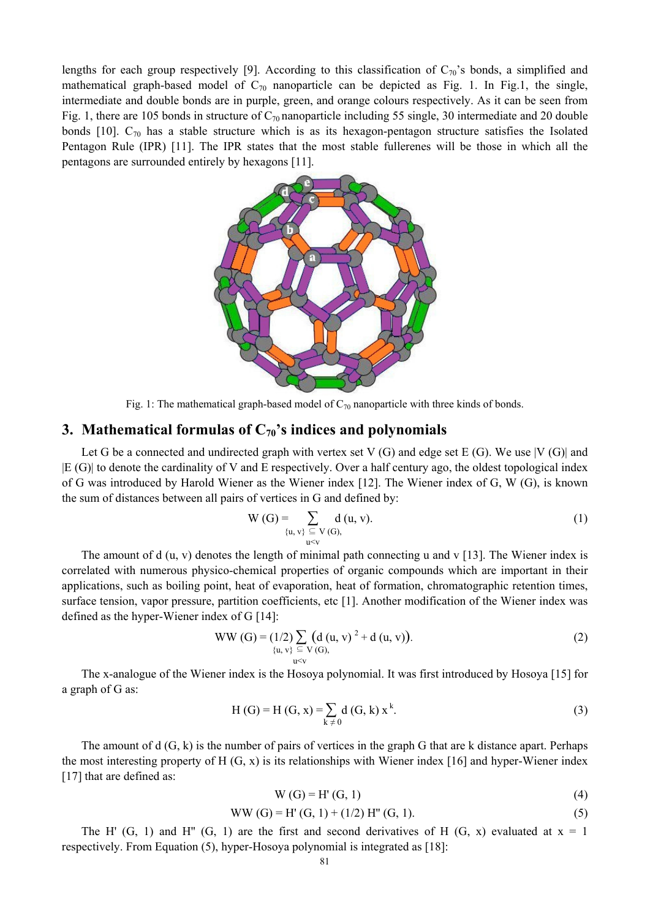lengths for each group respectively [9]. According to this classification of  $C_{70}$ 's bonds, a simplified and mathematical graph-based model of  $C_{70}$  nanoparticle can be depicted as Fig. 1. In Fig.1, the single, intermediate and double bonds are in purple, green, and orange colours respectively. As it can be seen from Fig. 1, there are 105 bonds in structure of  $C_{70}$  nanoparticle including 55 single, 30 intermediate and 20 double bonds  $[10]$ .  $C_{70}$  has a stable structure which is as its hexagon-pentagon structure satisfies the Isolated Pentagon Rule (IPR) [11]. The IPR states that the most stable fullerenes will be those in which all the pentagons are surrounded entirely by hexagons [11].



Fig. 1: The mathematical graph-based model of  $C_{70}$  nanoparticle with three kinds of bonds.

## **3. Mathematical formulas of**  $C_{70}$ **'s indices and polynomials**

Let G be a connected and undirected graph with vertex set V  $(G)$  and edge set E  $(G)$ . We use  $|V(G)|$  and |E (G)| to denote the cardinality of V and E respectively. Over a half century ago, the oldest topological index of G was introduced by Harold Wiener as the Wiener index [12]. The Wiener index of G, W (G), is known the sum of distances between all pairs of vertices in G and defined by:

$$
W(G) = \sum_{\{u, v\} \subseteq V(G), \atop u \le v} d(u, v). \tag{1}
$$

The amount of d (u, v) denotes the length of minimal path connecting u and v [13]. The Wiener index is correlated with numerous physico-chemical properties of organic compounds which are important in their applications, such as boiling point, heat of evaporation, heat of formation, chromatographic retention times, surface tension, vapor pressure, partition coefficients, etc [1]. Another modification of the Wiener index was defined as the hyper-Wiener index of G [14]:

WW (G) = (1/2) 
$$
\sum_{\{u, v\}} \left( d(u, v)^2 + d(u, v) \right)
$$
.  
(2)

The x-analogue of the Wiener index is the Hosoya polynomial. It was first introduced by Hosoya [15] for a graph of G as:

$$
H(G) = H(G, x) = \sum_{k \neq 0} d(G, k) x^{k}.
$$
 (3)

The amount of d (G, k) is the number of pairs of vertices in the graph G that are k distance apart. Perhaps the most interesting property of H  $(G, x)$  is its relationships with Wiener index [16] and hyper-Wiener index [17] that are defined as:

$$
W(G) = H'(G, 1)
$$
 (4)

$$
WW(G) = H'(G, 1) + (1/2) H''(G, 1).
$$
 (5)

The H'  $(G, 1)$  and H''  $(G, 1)$  are the first and second derivatives of H  $(G, x)$  evaluated at  $x = 1$ respectively. From Equation (5), hyper-Hosoya polynomial is integrated as [18]: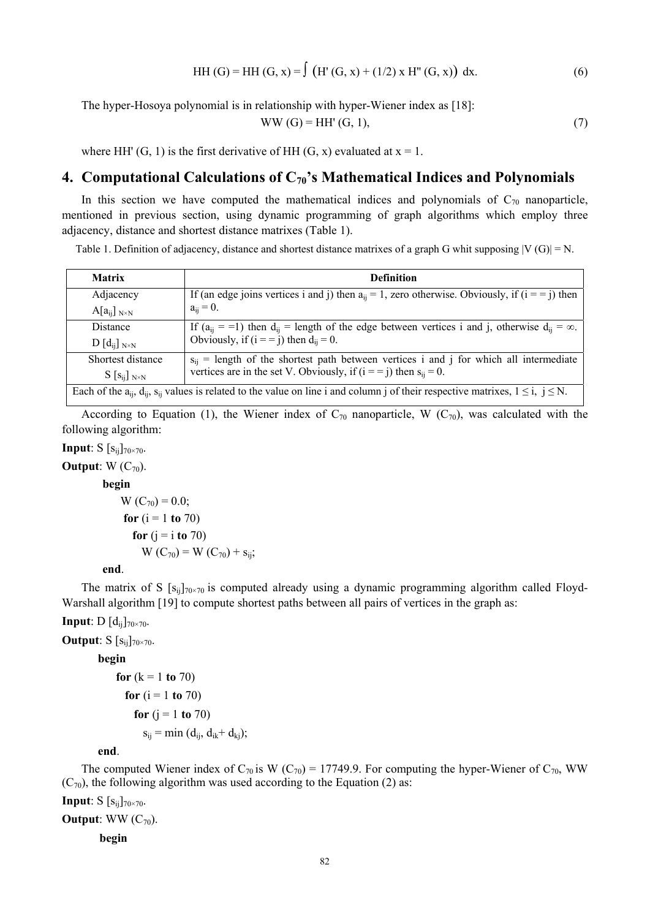HH (G) = HH (G, x) = 
$$
\int (H'(G, x) + (1/2) x H''(G, x)) dx.
$$
 (6)

The hyper-Hosoya polynomial is in relationship with hyper-Wiener index as [18]:

$$
WW(G) = HH'(G, 1),\tag{7}
$$

where HH'  $(G, 1)$  is the first derivative of HH  $(G, x)$  evaluated at  $x = 1$ .

## **4. Computational Calculations of C70's Mathematical Indices and Polynomials**

In this section we have computed the mathematical indices and polynomials of  $C_{70}$  nanoparticle, mentioned in previous section, using dynamic programming of graph algorithms which employ three adjacency, distance and shortest distance matrixes (Table 1).

Table 1. Definition of adjacency, distance and shortest distance matrixes of a graph G whit supposing  $|V(G)| = N$ .

| <b>Matrix</b>                                                                                                                                          | <b>Definition</b>                                                                                             |
|--------------------------------------------------------------------------------------------------------------------------------------------------------|---------------------------------------------------------------------------------------------------------------|
| Adjacency                                                                                                                                              | If (an edge joins vertices i and j) then $a_{ii} = 1$ , zero otherwise. Obviously, if ( $i = j$ ) then        |
| $A[a_{ii}]_{N\times N}$                                                                                                                                | $a_{ii} = 0$ .                                                                                                |
| Distance                                                                                                                                               | If $(a_{ii} = -1)$ then $d_{ii}$ = length of the edge between vertices i and j, otherwise $d_{ii} = \infty$ . |
| $D[d_{ii}]_{N\times N}$                                                                                                                                | Obviously, if $(i == j)$ then $d_{ii} = 0$ .                                                                  |
| Shortest distance                                                                                                                                      | $s_{ij}$ = length of the shortest path between vertices i and j for which all intermediate                    |
| $S[S_{ij}]_{N\times N}$                                                                                                                                | vertices are in the set V. Obviously, if $(i == j)$ then $s_{ii} = 0$ .                                       |
| Each of the $a_{ii}$ , $d_{ii}$ , $s_{ii}$ values is related to the value on line i and column j of their respective matrixes, $1 \le i$ , $j \le N$ . |                                                                                                               |

According to Equation (1), the Wiener index of  $C_{70}$  nanoparticle, W ( $C_{70}$ ), was calculated with the following algorithm:

**Input**:  $S [s_{ij}]_{70 \times 70}$ .

**Output**:  $W(C_{70})$ .

#### **begin**

 $W (C_{70}) = 0.0;$ **for**  $(i = 1 \text{ to } 70)$ **for**  $(i = i \text{ to } 70)$  $W(C_{70}) = W(C_{70}) + s_{ij};$ 

**end**.

The matrix of S  $[s_{ij}]_{70\times70}$  is computed already using a dynamic programming algorithm called Floyd-Warshall algorithm [19] to compute shortest paths between all pairs of vertices in the graph as:

#### **Input**: D  $[d_{ij}]_{70 \times 70}$ .

**Output**:  $S$   $[s_{ii}]_{70\times70}$ .

#### **begin**

**for** (k = 1 **to** 70)  
\n**for** (i = 1 **to** 70)  
\n**for** (j = 1 **to** 70)  
\n
$$
s_{ij} = \min (d_{ij}, d_{ik} + d_{kj});
$$

#### **end**.

The computed Wiener index of  $C_{70}$  is W ( $C_{70}$ ) = 17749.9. For computing the hyper-Wiener of  $C_{70}$ , WW  $(C_{70})$ , the following algorithm was used according to the Equation (2) as:

**Input**:  $S$   $[s_{ii}]_{70\times70}$ .

#### **Output**: WW  $(C_{70})$ .

**begin**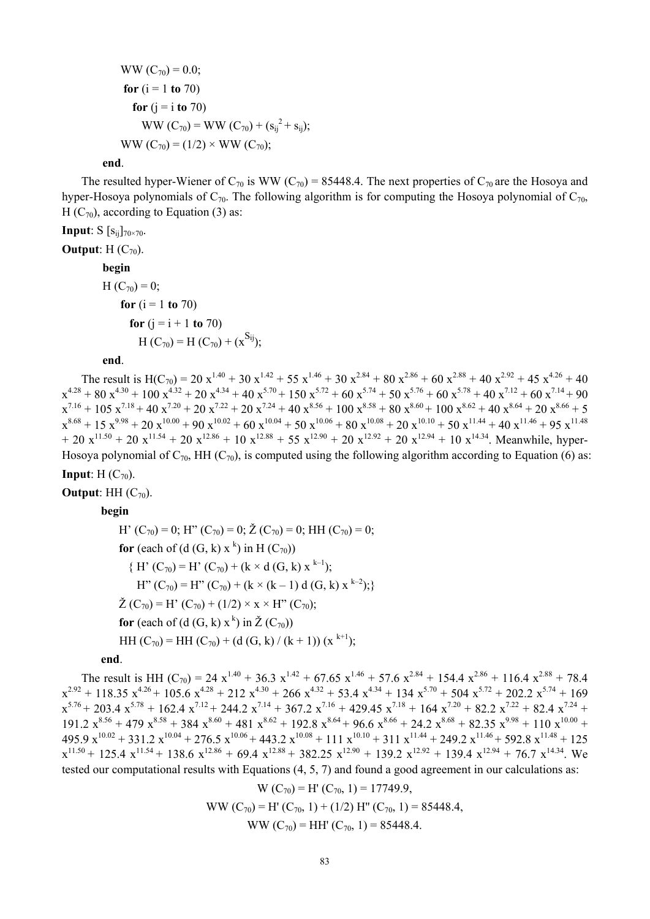```
WW (C_{70}) = 0.0;
for (i = 1 \text{ to } 70)for (i = i \text{ to } 70)WW (C_{70}) = WW (C_{70}) + (s_{ij}^2 + s_{ij});WW (C_{70}) = (1/2) \times WW (C_{70});
```
#### **end**.

The resulted hyper-Wiener of  $C_{70}$  is WW ( $C_{70}$ ) = 85448.4. The next properties of  $C_{70}$  are the Hosoya and hyper-Hosoya polynomials of  $C_{70}$ . The following algorithm is for computing the Hosoya polynomial of  $C_{70}$ , H  $(C_{70})$ , according to Equation (3) as:

# **Input**:  $S$   $[s_{ij}]_{70 \times 70}$ .

**Output**: H $(C_{70})$ .

### **begin**

 $H (C_{70}) = 0;$ **for**  $(i = 1 \text{ to } 70)$ **for**  $(i = i + 1$  **to** 70)  $H (C_{70}) = H (C_{70}) + (x^{S_{ij}});$ 

#### **end**.

The result is H(C<sub>70</sub>) = 20 x<sup>1.40</sup> + 30 x<sup>1.42</sup> + 55 x<sup>1.46</sup> + 30 x<sup>2.84</sup> + 80 x<sup>2.86</sup> + 60 x<sup>2.88</sup> + 40 x<sup>2.92</sup> + 45 x<sup>4.26</sup> + 40  $x^{4.28} + 80 x^{4.30} + 100 x^{4.32} + 20 x^{4.34} + 40 x^{5.70} + 150 x^{5.72} + 60 x^{5.74} + 50 x^{5.76} + 60 x^{5.78} + 40 x^{7.12} + 60 x^{7.14} + 90$  $x^{7.16} + 105 x^{7.18} + 40 x^{7.20} + 20 x^{7.22} + 20 x^{7.24} + 40 x^{8.56} + 100 x^{8.58} + 80 x^{8.60} + 100 x^{8.62} + 40 x^{8.64} + 20 x^{8.66} + 5$  $x^{8.68} + 15 x^{9.98} + 20 x^{10.00} + 90 x^{10.02} + 60 x^{10.04} + 50 x^{10.06} + 80 x^{10.08} + 20 x^{10.10} + 50 x^{11.44} + 40 x^{11.46} + 95 x^{11.48}$  $+ 20 x^{11.50} + 20 x^{11.54} + 20 x^{12.86} + 10 x^{12.88} + 55 x^{12.90} + 20 x^{12.92} + 20 x^{12.94} + 10 x^{14.34}$ . Meanwhile, hyper-Hosoya polynomial of  $C_{70}$ , HH ( $C_{70}$ ), is computed using the following algorithm according to Equation (6) as:

**Input**:  $H(C_{70})$ .

**Output**: HH $(C_{70})$ .

**begin**

H'  $(C_{70}) = 0$ ; H''  $(C_{70}) = 0$ ;  $\check{Z}(C_{70}) = 0$ ; HH  $(C_{70}) = 0$ ; **for** (each of (d  $(G, k)$  x<sup>k</sup>) in H  $(C_{70})$ )  ${H' (C_{70}) = H' (C_{70}) + (k \times d (G, k) x^{k-1})};$  $H''(C_{70}) = H''(C_{70}) + (k \times (k-1) d (G, k) x^{k-2});$  $\check{Z}(C_{70}) = H'(C_{70}) + (1/2) \times X \times H''(C_{70});$ **for** (each of (d (G, k)  $x^k$ ) in  $\check{Z}(C_{70})$ ) HH  $(C_{70}) =$  HH  $(C_{70}) +$  (d  $(G, k) / (k + 1)$ ) (x <sup>k+1</sup>);

#### **end**.

The result is HH (C<sub>70</sub>) = 24 x<sup>1.40</sup> + 36.3 x<sup>1.42</sup> + 67.65 x<sup>1.46</sup> + 57.6 x<sup>2.84</sup> + 154.4 x<sup>2.86</sup> + 116.4 x<sup>2.88</sup> + 78.4  $x^{2.92} + 118.35 x^{4.26} + 105.6 x^{4.28} + 212 x^{4.30} + 266 x^{4.32} + 53.4 x^{4.34} + 134 x^{5.70} + 504 x^{5.72} + 202.2 x^{5.74} + 169$  $x^{5.76}$  + 203.4  $x^{5.78}$  + 162.4  $x^{7.12}$  + 244.2  $x^{7.14}$  + 367.2  $x^{7.16}$  + 429.45  $x^{7.18}$  + 164  $x^{7.20}$  + 82.2  $x^{7.22}$  + 82.4  $x^{7.24}$  +  $191.2$   $x^{8.56} + 479$   $x^{8.58} + 384$   $x^{8.60} + 481$   $x^{8.62} + 192.8$   $x^{8.64} + 96.6$   $x^{8.66} + 24.2$   $x^{8.68} + 82.35$   $x^{9.98} + 110$   $x^{10.00}$  +  $495.9 \text{ x}^{10.02} + 331.2 \text{ x}^{10.04} + 276.5 \text{ x}^{10.06} + 443.2 \text{ x}^{10.08} + 111 \text{ x}^{10.10} + 311 \text{ x}^{11.44} + 249.2 \text{ x}^{11.46} + 592.8 \text{ x}^{11.48} + 125$  $x^{11.50} + 125.4 x^{11.54} + 138.6 x^{12.86} + 69.4 x^{12.88} + 382.25 x^{12.90} + 139.2 x^{12.92} + 139.4 x^{12.94} + 76.7 x^{14.34}$ . We tested our computational results with Equations (4, 5, 7) and found a good agreement in our calculations as:

$$
W(C_{70}) = H'(C_{70}, 1) = 17749.9,
$$
  
WW (C<sub>70</sub>) = H' (C<sub>70</sub>, 1) + (1/2) H'' (C<sub>70</sub>, 1) = 85448.4,  
WW (C<sub>70</sub>) = HH' (C<sub>70</sub>, 1) = 85448.4.